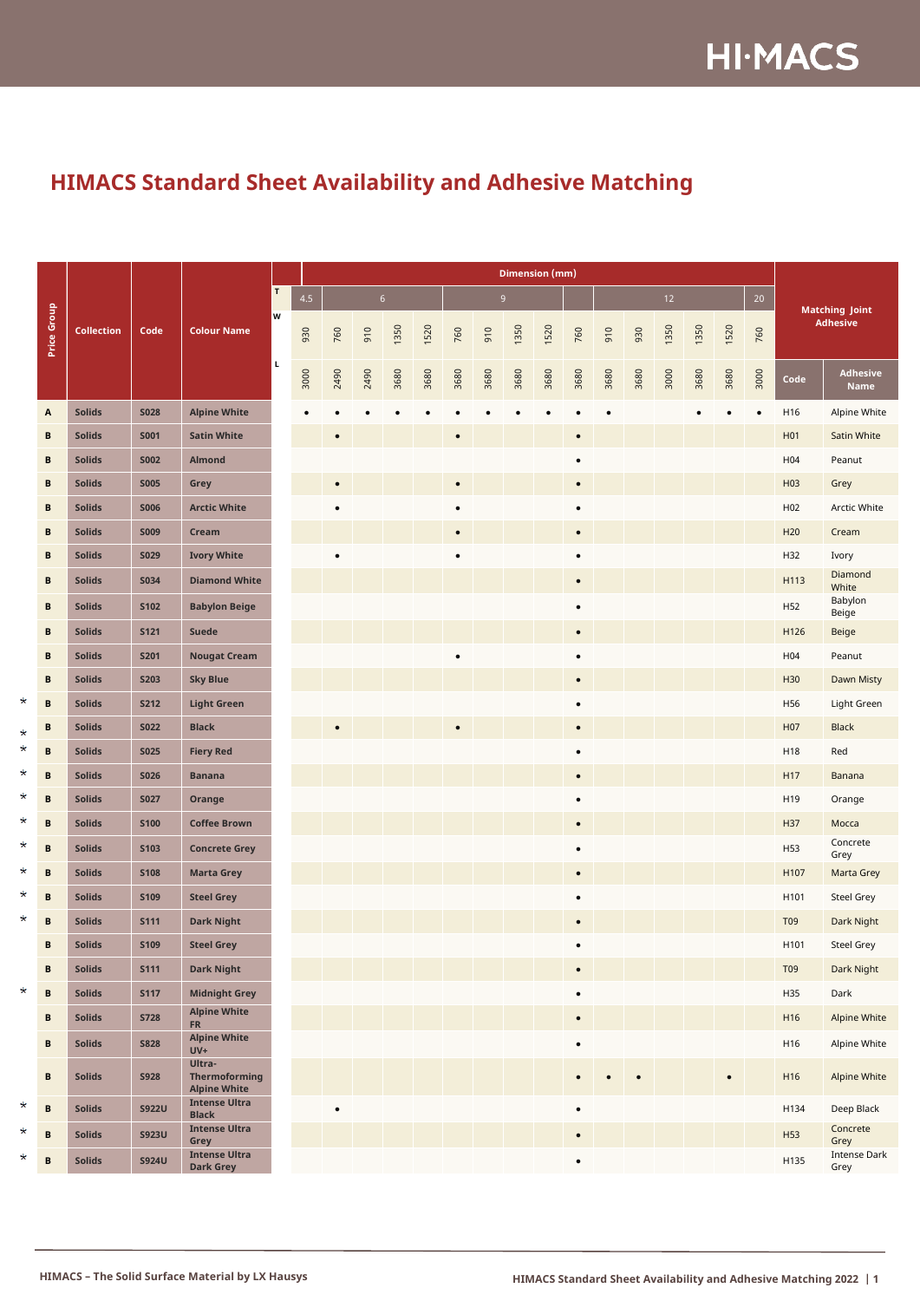## **HI·MACS**

#### **HIMACS Standard Sheet Availability and Adhesive Matching**

|          |              |                   |              |                                                       |             |           |           |      |                |      |           |      | <b>Dimension (mm)</b> |      |           |      |      |                   |      |      |           |                 |                                          |
|----------|--------------|-------------------|--------------|-------------------------------------------------------|-------------|-----------|-----------|------|----------------|------|-----------|------|-----------------------|------|-----------|------|------|-------------------|------|------|-----------|-----------------|------------------------------------------|
|          |              |                   |              |                                                       | $\mathsf T$ | 4.5       |           |      | 6 <sup>1</sup> |      |           |      | 9 <sup>°</sup>        |      |           |      |      | $12 \overline{ }$ |      |      | 20        |                 |                                          |
|          | Group        | <b>Collection</b> | Code         | <b>Colour Name</b>                                    | W           | 930       | 760       | 910  | 1350           | 1520 | 760       | 910  | 1350                  | 1520 | 760       | 910  | 930  | 1350              | 1350 | 1520 | 760       |                 | <b>Matching Joint</b><br><b>Adhesive</b> |
|          | Price        |                   |              |                                                       |             |           |           |      |                |      |           |      |                       |      |           |      |      |                   |      |      |           |                 |                                          |
|          |              |                   |              |                                                       | $\mathbf L$ | 3000      | 2490      | 2490 | 3680           | 3680 | 3680      | 3680 | 3680                  | 3680 | 3680      | 3680 | 3680 | 3000              | 3680 | 3680 | 3000      | Code            | <b>Adhesive</b><br><b>Name</b>           |
|          | Α            | <b>Solids</b>     | <b>S028</b>  | <b>Alpine White</b>                                   |             | $\bullet$ |           |      |                |      |           |      |                       |      |           |      |      |                   |      |      | $\bullet$ | H16             | Alpine White                             |
|          | $\, {\bf B}$ | <b>Solids</b>     | <b>S001</b>  | <b>Satin White</b>                                    |             |           | $\bullet$ |      |                |      | $\bullet$ |      |                       |      | $\bullet$ |      |      |                   |      |      |           | H <sub>01</sub> | Satin White                              |
|          | $\, {\bf B}$ | <b>Solids</b>     | <b>S002</b>  | Almond                                                |             |           |           |      |                |      |           |      |                       |      | $\bullet$ |      |      |                   |      |      |           | H04             | Peanut                                   |
|          | $\, {\bf B}$ | <b>Solids</b>     | <b>S005</b>  | Grey                                                  |             |           | $\bullet$ |      |                |      |           |      |                       |      | $\bullet$ |      |      |                   |      |      |           | H <sub>03</sub> | Grey                                     |
|          | $\, {\bf B}$ | <b>Solids</b>     | <b>S006</b>  | <b>Arctic White</b>                                   |             |           |           |      |                |      |           |      |                       |      | $\bullet$ |      |      |                   |      |      |           | H <sub>02</sub> | Arctic White                             |
|          | $\, {\bf B}$ | <b>Solids</b>     | <b>S009</b>  | Cream                                                 |             |           |           |      |                |      | $\bullet$ |      |                       |      |           |      |      |                   |      |      |           | H <sub>20</sub> | Cream                                    |
|          | $\, {\bf B}$ | <b>Solids</b>     | <b>S029</b>  | <b>Ivory White</b>                                    |             |           | $\bullet$ |      |                |      | $\bullet$ |      |                       |      | $\bullet$ |      |      |                   |      |      |           | H32             | Ivory                                    |
|          | $\, {\bf B}$ | <b>Solids</b>     | <b>S034</b>  | <b>Diamond White</b>                                  |             |           |           |      |                |      |           |      |                       |      |           |      |      |                   |      |      |           | H113            | Diamond<br>White                         |
|          | B            | <b>Solids</b>     | <b>S102</b>  | <b>Babylon Beige</b>                                  |             |           |           |      |                |      |           |      |                       |      | $\bullet$ |      |      |                   |      |      |           | H52             | Babylon<br>Beige                         |
|          | $\, {\bf B}$ | <b>Solids</b>     | <b>S121</b>  | Suede                                                 |             |           |           |      |                |      |           |      |                       |      |           |      |      |                   |      |      |           | H126            | <b>Beige</b>                             |
|          | $\, {\bf B}$ | <b>Solids</b>     | <b>S201</b>  | <b>Nougat Cream</b>                                   |             |           |           |      |                |      |           |      |                       |      | $\bullet$ |      |      |                   |      |      |           | H04             | Peanut                                   |
|          | $\, {\bf B}$ | <b>Solids</b>     | <b>S203</b>  | <b>Sky Blue</b>                                       |             |           |           |      |                |      |           |      |                       |      |           |      |      |                   |      |      |           | H30             | Dawn Misty                               |
| $^\star$ | B            | <b>Solids</b>     | <b>S212</b>  | <b>Light Green</b>                                    |             |           |           |      |                |      |           |      |                       |      | $\bullet$ |      |      |                   |      |      |           | H56             | Light Green                              |
| $^\star$ | В            | <b>Solids</b>     | <b>S022</b>  | <b>Black</b>                                          |             |           |           |      |                |      |           |      |                       |      | $\bullet$ |      |      |                   |      |      |           | H <sub>07</sub> | <b>Black</b>                             |
| $^\star$ | $\, {\bf B}$ | <b>Solids</b>     | <b>S025</b>  | <b>Fiery Red</b>                                      |             |           |           |      |                |      |           |      |                       |      | $\bullet$ |      |      |                   |      |      |           | H18             | Red                                      |
| $\star$  | $\mathbf B$  | <b>Solids</b>     | <b>S026</b>  | <b>Banana</b>                                         |             |           |           |      |                |      |           |      |                       |      | $\bullet$ |      |      |                   |      |      |           | H17             | Banana                                   |
| $\star$  | B            | <b>Solids</b>     | <b>S027</b>  | Orange                                                |             |           |           |      |                |      |           |      |                       |      | $\bullet$ |      |      |                   |      |      |           | H19             | Orange                                   |
| $^\star$ | B            | <b>Solids</b>     | <b>S100</b>  | <b>Coffee Brown</b>                                   |             |           |           |      |                |      |           |      |                       |      |           |      |      |                   |      |      |           | H37             | Mocca                                    |
| $\star$  | $\, {\bf B}$ | <b>Solids</b>     | <b>S103</b>  | <b>Concrete Grey</b>                                  |             |           |           |      |                |      |           |      |                       |      | $\bullet$ |      |      |                   |      |      |           | H53             | Concrete<br>Grey                         |
| $\star$  | B            | <b>Solids</b>     | <b>S108</b>  | <b>Marta Grey</b>                                     |             |           |           |      |                |      |           |      |                       |      | $\bullet$ |      |      |                   |      |      |           | H107            | Marta Grey                               |
| $^\star$ | B            | <b>Solids</b>     | S109         | <b>Steel Grey</b>                                     |             |           |           |      |                |      |           |      |                       |      | $\bullet$ |      |      |                   |      |      |           | H101            | Steel Grey                               |
| *        | B            | <b>Solids</b>     | <b>S111</b>  | <b>Dark Night</b>                                     |             |           |           |      |                |      |           |      |                       |      |           |      |      |                   |      |      |           | T09             | Dark Night                               |
|          | В            | <b>Solids</b>     | <b>S109</b>  | <b>Steel Grey</b>                                     |             |           |           |      |                |      |           |      |                       |      |           |      |      |                   |      |      |           | H101            | <b>Steel Grey</b>                        |
|          | $\, {\bf B}$ | <b>Solids</b>     | <b>S111</b>  | <b>Dark Night</b>                                     |             |           |           |      |                |      |           |      |                       |      | $\bullet$ |      |      |                   |      |      |           | T09             | Dark Night                               |
| $^\star$ | $\, {\bf B}$ | <b>Solids</b>     | <b>S117</b>  | <b>Midnight Grey</b>                                  |             |           |           |      |                |      |           |      |                       |      | $\bullet$ |      |      |                   |      |      |           | H35             | Dark                                     |
|          | $\, {\bf B}$ | <b>Solids</b>     | <b>S728</b>  | <b>Alpine White</b><br><b>FR</b>                      |             |           |           |      |                |      |           |      |                       |      | $\bullet$ |      |      |                   |      |      |           | H16             | Alpine White                             |
|          | B            | <b>Solids</b>     | <b>S828</b>  | <b>Alpine White</b><br>UV+                            |             |           |           |      |                |      |           |      |                       |      | $\bullet$ |      |      |                   |      |      |           | H16             | Alpine White                             |
|          | $\, {\bf B}$ | <b>Solids</b>     | <b>S928</b>  | Ultra-<br><b>Thermoforming</b><br><b>Alpine White</b> |             |           |           |      |                |      |           |      |                       |      | $\bullet$ |      |      |                   |      |      |           | H16             | Alpine White                             |
| $^\star$ | B            | <b>Solids</b>     | <b>S922U</b> | <b>Intense Ultra</b><br><b>Black</b>                  |             |           | $\bullet$ |      |                |      |           |      |                       |      | $\bullet$ |      |      |                   |      |      |           | H134            | Deep Black                               |
| $^\star$ | $\, {\bf B}$ | <b>Solids</b>     | <b>S923U</b> | <b>Intense Ultra</b><br>Grey                          |             |           |           |      |                |      |           |      |                       |      | $\bullet$ |      |      |                   |      |      |           | H53             | Concrete<br>Grey                         |
| $^\star$ | $\, {\bf B}$ | <b>Solids</b>     | <b>S924U</b> | <b>Intense Ultra</b><br><b>Dark Grey</b>              |             |           |           |      |                |      |           |      |                       |      | $\bullet$ |      |      |                   |      |      |           | H135            | Intense Dark<br>Grey                     |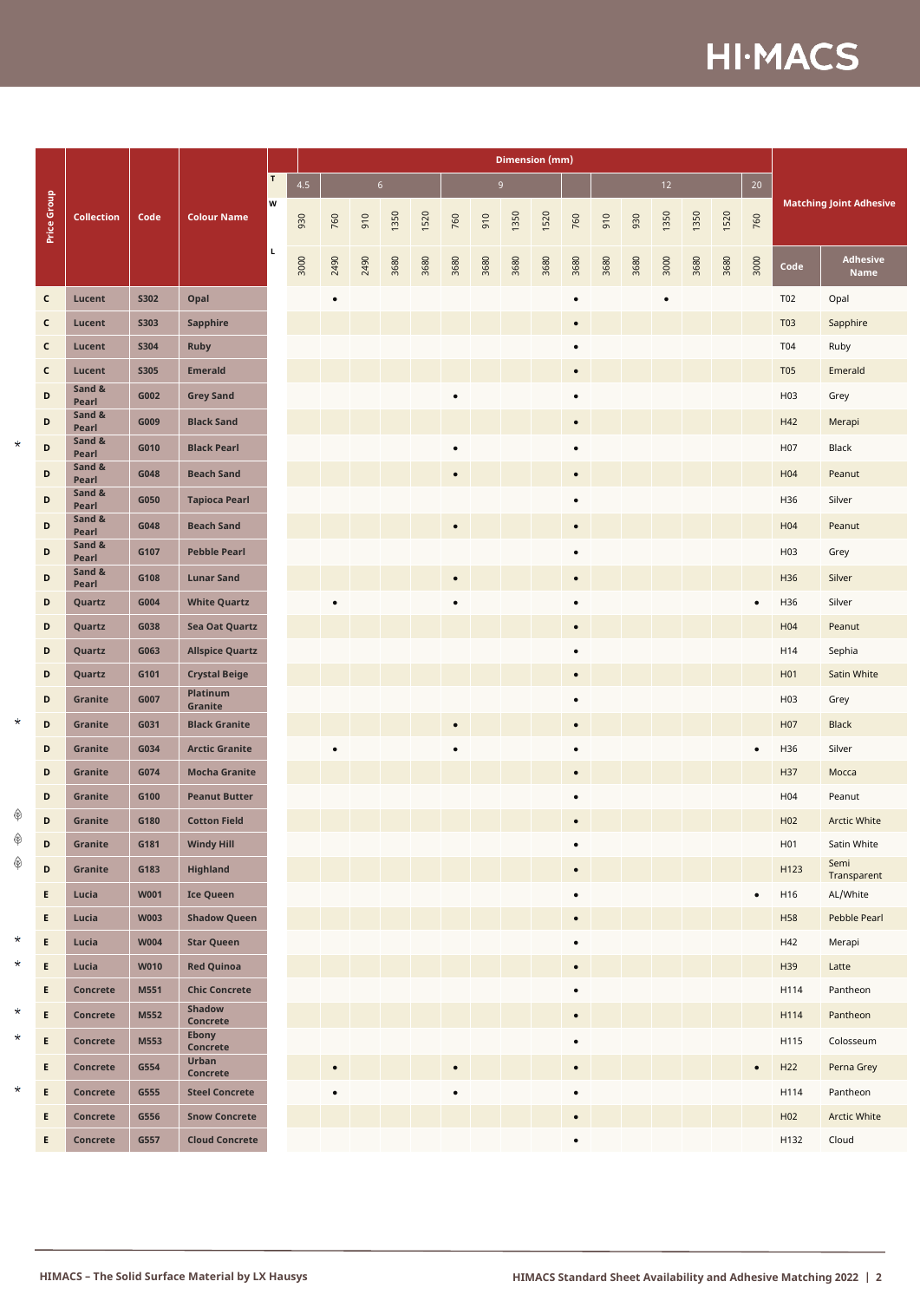# **HI-MACS**

| 4.5<br>930<br>760<br>910 |
|--------------------------|
|                          |
|                          |
| 3000<br>2490<br>2490     |
| $\bullet$                |
|                          |
|                          |
|                          |
|                          |
|                          |
|                          |
|                          |
|                          |
|                          |
|                          |
|                          |
|                          |
|                          |
|                          |
|                          |
|                          |
|                          |
|                          |
|                          |
|                          |
|                          |
|                          |
|                          |
|                          |
|                          |
|                          |
|                          |
|                          |
|                          |
|                          |
|                          |
|                          |
| $\bullet$                |
|                          |
|                          |
|                          |
|                          |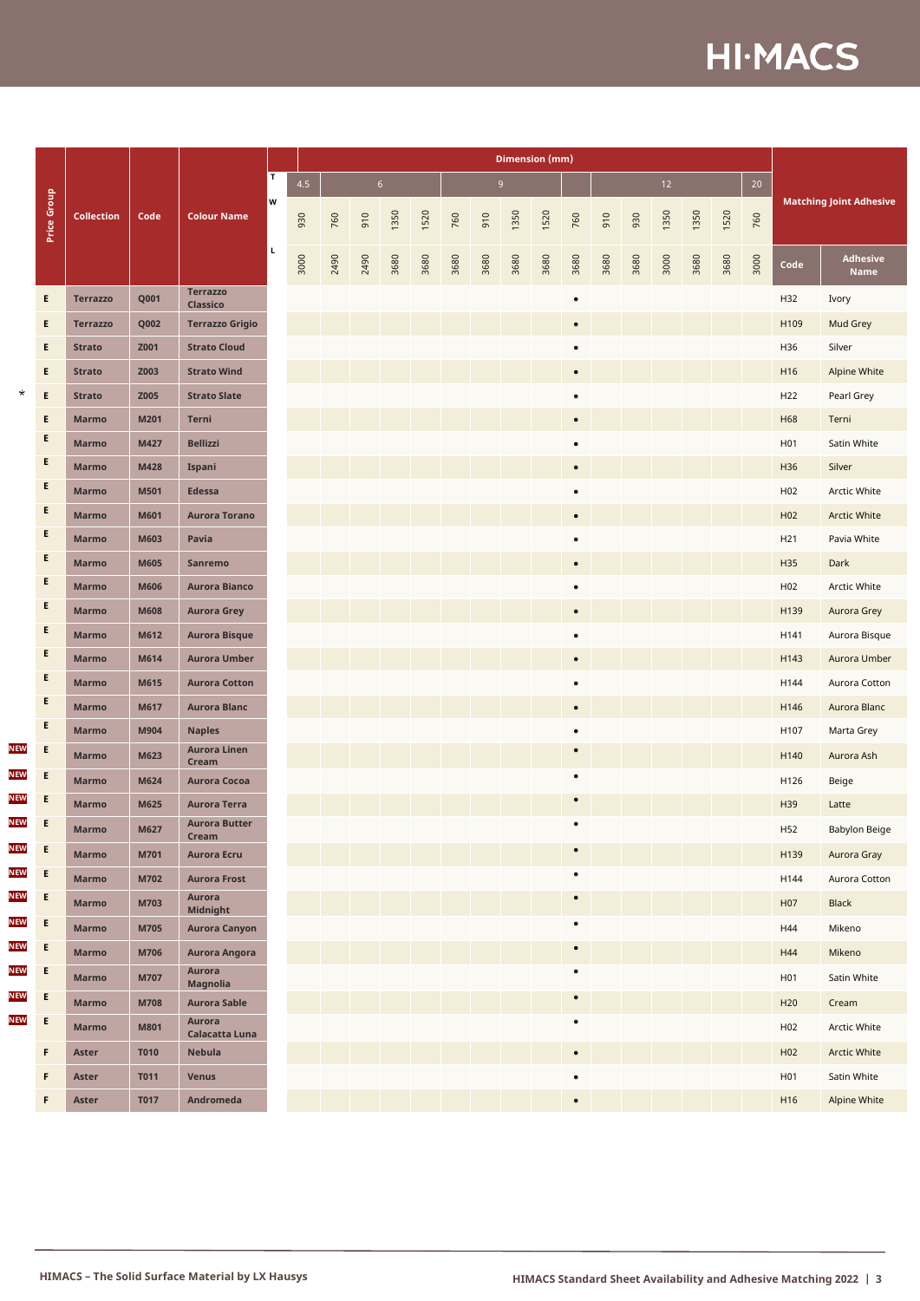## **HI-MACS**

| <b>Price Group</b><br><b>Collection</b><br>E<br><b>Terrazzo</b><br>E<br><b>Terrazzo</b><br>E.<br><b>Strato</b><br>E<br><b>Strato</b><br>$\star$<br>E<br><b>Strato</b><br>E.<br><b>Marmo</b><br>Е<br><b>Marmo</b><br>Е<br><b>Marmo</b><br>E<br><b>Marmo</b><br>Е<br><b>Marmo</b><br>Е<br><b>Marmo</b><br>E<br><b>Marmo</b><br>Е<br><b>Marmo</b><br>Е<br><b>Marmo</b><br>E<br><b>Marmo</b><br>Е<br><b>Marmo</b> | Code<br>Q001<br>Q002<br>Z001<br>Z003<br>Z005<br>M201<br>M427<br>M428<br>M501<br>M601<br>M603<br>M605<br>M606<br><b>M608</b> | <b>Colour Name</b><br><b>Terrazzo</b><br><b>Classico</b><br><b>Terrazzo Grigio</b><br><b>Strato Cloud</b><br><b>Strato Wind</b><br><b>Strato Slate</b><br>Terni<br><b>Bellizzi</b><br>Ispani<br>Edessa<br><b>Aurora Torano</b><br>Pavia<br>Sanremo | T.<br>W<br>L | 4.5<br>930<br>3000 | 760<br>2490 | $6\phantom{.}6$<br>910<br>2490 | 1350<br>3680 | 1520<br>3680 | 760<br>3680 | 9<br>910<br>3680 | 1350<br>3680 | 1520<br>3680 | 760<br>3680<br>$\bullet$ | 910<br>3680 | 930<br>3680 | 12<br>1350<br>3000 | 1350<br>3680 | 1520<br>3680 | 20 <sub>2</sub><br>760<br>3000 | Code<br>H32<br>H109 | <b>Matching Joint Adhesive</b><br><b>Adhesive</b><br><b>Name</b><br>Ivory<br>Mud Grey |
|---------------------------------------------------------------------------------------------------------------------------------------------------------------------------------------------------------------------------------------------------------------------------------------------------------------------------------------------------------------------------------------------------------------|-----------------------------------------------------------------------------------------------------------------------------|----------------------------------------------------------------------------------------------------------------------------------------------------------------------------------------------------------------------------------------------------|--------------|--------------------|-------------|--------------------------------|--------------|--------------|-------------|------------------|--------------|--------------|--------------------------|-------------|-------------|--------------------|--------------|--------------|--------------------------------|---------------------|---------------------------------------------------------------------------------------|
|                                                                                                                                                                                                                                                                                                                                                                                                               |                                                                                                                             |                                                                                                                                                                                                                                                    |              |                    |             |                                |              |              |             |                  |              |              |                          |             |             |                    |              |              |                                |                     |                                                                                       |
|                                                                                                                                                                                                                                                                                                                                                                                                               |                                                                                                                             |                                                                                                                                                                                                                                                    |              |                    |             |                                |              |              |             |                  |              |              |                          |             |             |                    |              |              |                                |                     |                                                                                       |
|                                                                                                                                                                                                                                                                                                                                                                                                               |                                                                                                                             |                                                                                                                                                                                                                                                    |              |                    |             |                                |              |              |             |                  |              |              |                          |             |             |                    |              |              |                                |                     |                                                                                       |
|                                                                                                                                                                                                                                                                                                                                                                                                               |                                                                                                                             |                                                                                                                                                                                                                                                    |              |                    |             |                                |              |              |             |                  |              |              |                          |             |             |                    |              |              |                                |                     |                                                                                       |
|                                                                                                                                                                                                                                                                                                                                                                                                               |                                                                                                                             |                                                                                                                                                                                                                                                    |              |                    |             |                                |              |              |             |                  |              |              |                          |             |             |                    |              |              |                                |                     |                                                                                       |
|                                                                                                                                                                                                                                                                                                                                                                                                               |                                                                                                                             |                                                                                                                                                                                                                                                    |              |                    |             |                                |              |              |             |                  |              |              | $\bullet$                |             |             |                    |              |              |                                | H36                 | Silver                                                                                |
|                                                                                                                                                                                                                                                                                                                                                                                                               |                                                                                                                             |                                                                                                                                                                                                                                                    |              |                    |             |                                |              |              |             |                  |              |              | $\bullet$                |             |             |                    |              |              |                                | H16                 | Alpine White                                                                          |
|                                                                                                                                                                                                                                                                                                                                                                                                               |                                                                                                                             |                                                                                                                                                                                                                                                    |              |                    |             |                                |              |              |             |                  |              |              | $\bullet$                |             |             |                    |              |              |                                | H <sub>22</sub>     | Pearl Grey                                                                            |
|                                                                                                                                                                                                                                                                                                                                                                                                               |                                                                                                                             |                                                                                                                                                                                                                                                    |              |                    |             |                                |              |              |             |                  |              |              |                          |             |             |                    |              |              |                                | H <sub>68</sub>     | Terni                                                                                 |
|                                                                                                                                                                                                                                                                                                                                                                                                               |                                                                                                                             |                                                                                                                                                                                                                                                    |              |                    |             |                                |              |              |             |                  |              |              | ٠                        |             |             |                    |              |              |                                | H <sub>0</sub> 1    | Satin White                                                                           |
|                                                                                                                                                                                                                                                                                                                                                                                                               |                                                                                                                             |                                                                                                                                                                                                                                                    |              |                    |             |                                |              |              |             |                  |              |              |                          |             |             |                    |              |              |                                | H36                 | Silver                                                                                |
|                                                                                                                                                                                                                                                                                                                                                                                                               |                                                                                                                             |                                                                                                                                                                                                                                                    |              |                    |             |                                |              |              |             |                  |              |              | $\bullet$                |             |             |                    |              |              |                                | H <sub>02</sub>     | Arctic White                                                                          |
|                                                                                                                                                                                                                                                                                                                                                                                                               |                                                                                                                             |                                                                                                                                                                                                                                                    |              |                    |             |                                |              |              |             |                  |              |              | $\bullet$                |             |             |                    |              |              |                                | H <sub>02</sub>     | <b>Arctic White</b>                                                                   |
|                                                                                                                                                                                                                                                                                                                                                                                                               |                                                                                                                             |                                                                                                                                                                                                                                                    |              |                    |             |                                |              |              |             |                  |              |              | $\bullet$                |             |             |                    |              |              |                                | H <sub>21</sub>     | Pavia White                                                                           |
|                                                                                                                                                                                                                                                                                                                                                                                                               |                                                                                                                             |                                                                                                                                                                                                                                                    |              |                    |             |                                |              |              |             |                  |              |              |                          |             |             |                    |              |              |                                | H35                 | Dark                                                                                  |
|                                                                                                                                                                                                                                                                                                                                                                                                               |                                                                                                                             | <b>Aurora Bianco</b>                                                                                                                                                                                                                               |              |                    |             |                                |              |              |             |                  |              |              | $\bullet$                |             |             |                    |              |              |                                | H02                 | Arctic White                                                                          |
|                                                                                                                                                                                                                                                                                                                                                                                                               |                                                                                                                             | <b>Aurora Grey</b>                                                                                                                                                                                                                                 |              |                    |             |                                |              |              |             |                  |              |              |                          |             |             |                    |              |              |                                | H139                | Aurora Grey                                                                           |
|                                                                                                                                                                                                                                                                                                                                                                                                               | M612                                                                                                                        | <b>Aurora Bisque</b>                                                                                                                                                                                                                               |              |                    |             |                                |              |              |             |                  |              |              | $\bullet$                |             |             |                    |              |              |                                | H141                | Aurora Bisque                                                                         |
|                                                                                                                                                                                                                                                                                                                                                                                                               | M614                                                                                                                        | <b>Aurora Umber</b>                                                                                                                                                                                                                                |              |                    |             |                                |              |              |             |                  |              |              | $\bullet$                |             |             |                    |              |              |                                | H143                | Aurora Umber                                                                          |
| Е<br><b>Marmo</b>                                                                                                                                                                                                                                                                                                                                                                                             | M615                                                                                                                        | <b>Aurora Cotton</b>                                                                                                                                                                                                                               |              |                    |             |                                |              |              |             |                  |              |              | $\bullet$                |             |             |                    |              |              |                                | H144                | Aurora Cotton                                                                         |
| E.<br>Marmo                                                                                                                                                                                                                                                                                                                                                                                                   | M617                                                                                                                        | <b>Aurora Blanc</b>                                                                                                                                                                                                                                |              |                    |             |                                |              |              |             |                  |              |              |                          |             |             |                    |              |              |                                | H146                | Aurora Blanc                                                                          |
| Е<br><b>Marmo</b>                                                                                                                                                                                                                                                                                                                                                                                             | M904                                                                                                                        | <b>Naples</b>                                                                                                                                                                                                                                      |              |                    |             |                                |              |              |             |                  |              |              |                          |             |             |                    |              |              |                                | H107                | Marta Grey                                                                            |
| NEW<br>Е<br><b>Marmo</b>                                                                                                                                                                                                                                                                                                                                                                                      | M623                                                                                                                        | <b>Aurora Linen</b>                                                                                                                                                                                                                                |              |                    |             |                                |              |              |             |                  |              |              | $\bullet$                |             |             |                    |              |              |                                | H140                | Aurora Ash                                                                            |
| NEW<br>E<br>Marmo                                                                                                                                                                                                                                                                                                                                                                                             | M624                                                                                                                        | Cream<br><b>Aurora Cocoa</b>                                                                                                                                                                                                                       |              |                    |             |                                |              |              |             |                  |              |              | $\bullet$                |             |             |                    |              |              |                                | H126                | Beige                                                                                 |
| NEW<br>E<br><b>Marmo</b>                                                                                                                                                                                                                                                                                                                                                                                      | M625                                                                                                                        | <b>Aurora Terra</b>                                                                                                                                                                                                                                |              |                    |             |                                |              |              |             |                  |              |              |                          |             |             |                    |              |              |                                | H39                 | Latte                                                                                 |
| NEW<br>E.<br><b>Marmo</b>                                                                                                                                                                                                                                                                                                                                                                                     | M627                                                                                                                        | <b>Aurora Butter</b>                                                                                                                                                                                                                               |              |                    |             |                                |              |              |             |                  |              |              |                          |             |             |                    |              |              |                                | H52                 | <b>Babylon Beige</b>                                                                  |
| NEW<br>E<br><b>Marmo</b>                                                                                                                                                                                                                                                                                                                                                                                      | M701                                                                                                                        | Cream<br><b>Aurora Ecru</b>                                                                                                                                                                                                                        |              |                    |             |                                |              |              |             |                  |              |              |                          |             |             |                    |              |              |                                | H139                | Aurora Gray                                                                           |
| NEW<br>F.<br><b>Marmo</b>                                                                                                                                                                                                                                                                                                                                                                                     | M702                                                                                                                        | <b>Aurora Frost</b>                                                                                                                                                                                                                                |              |                    |             |                                |              |              |             |                  |              |              | $\bullet$                |             |             |                    |              |              |                                | H144                | Aurora Cotton                                                                         |
| NEW<br>E.<br><b>Marmo</b>                                                                                                                                                                                                                                                                                                                                                                                     | M703                                                                                                                        | Aurora                                                                                                                                                                                                                                             |              |                    |             |                                |              |              |             |                  |              |              | $\bullet$                |             |             |                    |              |              |                                | H <sub>0</sub> 7    | <b>Black</b>                                                                          |
| NEW<br>E.<br><b>Marmo</b>                                                                                                                                                                                                                                                                                                                                                                                     | M705                                                                                                                        | Midnight                                                                                                                                                                                                                                           |              |                    |             |                                |              |              |             |                  |              |              | $\bullet$                |             |             |                    |              |              |                                | H44                 | Mikeno                                                                                |
| NEW<br>F.                                                                                                                                                                                                                                                                                                                                                                                                     |                                                                                                                             | <b>Aurora Canyon</b><br><b>Aurora Angora</b>                                                                                                                                                                                                       |              |                    |             |                                |              |              |             |                  |              |              | $\bullet$                |             |             |                    |              |              |                                | H44                 |                                                                                       |
| <b>Marmo</b><br>NEW<br>F.                                                                                                                                                                                                                                                                                                                                                                                     | M706                                                                                                                        | Aurora                                                                                                                                                                                                                                             |              |                    |             |                                |              |              |             |                  |              |              | $\bullet$                |             |             |                    |              |              |                                |                     | Mikeno                                                                                |
| <b>Marmo</b><br>NEW<br>F.                                                                                                                                                                                                                                                                                                                                                                                     | M707                                                                                                                        | <b>Magnolia</b>                                                                                                                                                                                                                                    |              |                    |             |                                |              |              |             |                  |              |              | $\bullet$                |             |             |                    |              |              |                                | H01                 | Satin White                                                                           |
| <b>Marmo</b><br>NEW<br>F.                                                                                                                                                                                                                                                                                                                                                                                     | M708                                                                                                                        | <b>Aurora Sable</b><br><b>Aurora</b>                                                                                                                                                                                                               |              |                    |             |                                |              |              |             |                  |              |              | $\bullet$                |             |             |                    |              |              |                                | H <sub>20</sub>     | Cream                                                                                 |
| <b>Marmo</b>                                                                                                                                                                                                                                                                                                                                                                                                  | M801                                                                                                                        | Calacatta Luna                                                                                                                                                                                                                                     |              |                    |             |                                |              |              |             |                  |              |              |                          |             |             |                    |              |              |                                | H02                 | Arctic White                                                                          |
| F<br>Aster                                                                                                                                                                                                                                                                                                                                                                                                    | <b>T010</b>                                                                                                                 | Nebula                                                                                                                                                                                                                                             |              |                    |             |                                |              |              |             |                  |              |              | $\bullet$                |             |             |                    |              |              |                                | H <sub>02</sub>     | <b>Arctic White</b>                                                                   |
| F<br>Aster                                                                                                                                                                                                                                                                                                                                                                                                    | <b>T011</b>                                                                                                                 | <b>Venus</b>                                                                                                                                                                                                                                       |              |                    |             |                                |              |              |             |                  |              |              | ٠                        |             |             |                    |              |              |                                | H <sub>0</sub> 1    | Satin White                                                                           |
| F<br><b>Aster</b>                                                                                                                                                                                                                                                                                                                                                                                             | <b>T017</b>                                                                                                                 | Andromeda                                                                                                                                                                                                                                          |              |                    |             |                                |              |              |             |                  |              |              |                          |             |             |                    |              |              |                                | H <sub>16</sub>     | Alpine White                                                                          |